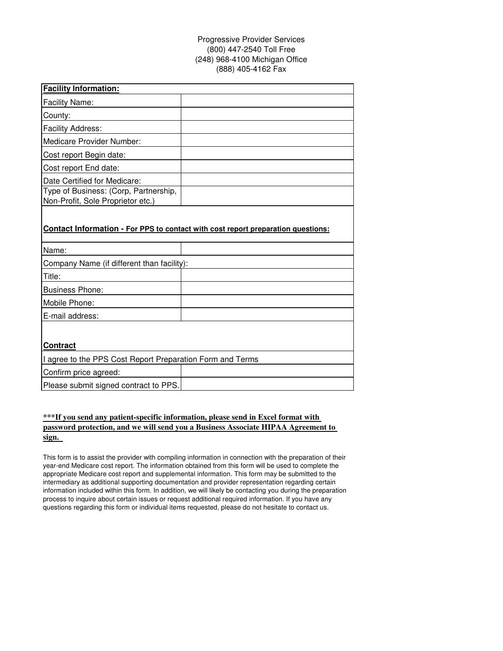# Progressive Provider Services (800) 447-2540 Toll Free (248) 968-4100 Michigan Office (888) 405-4162 Fax

| <b>Facility Information:</b>          |  |
|---------------------------------------|--|
| <b>Facility Name:</b>                 |  |
| County:                               |  |
| <b>Facility Address:</b>              |  |
| Medicare Provider Number:             |  |
| Cost report Begin date:               |  |
| Cost report End date:                 |  |
| Date Certified for Medicare:          |  |
| Type of Business: (Corp, Partnership, |  |
| Non-Profit, Sole Proprietor etc.)     |  |

### **Contact Information - For PPS to contact with cost report preparation questions:**

| Name:                                                     |  |  |
|-----------------------------------------------------------|--|--|
| Company Name (if different than facility):                |  |  |
| Title:                                                    |  |  |
| <b>Business Phone:</b>                                    |  |  |
| Mobile Phone:                                             |  |  |
| E-mail address:                                           |  |  |
|                                                           |  |  |
| <b>Contract</b>                                           |  |  |
| I agree to the PPS Cost Report Preparation Form and Terms |  |  |
| Confirm price agreed:                                     |  |  |
| Please submit signed contract to PPS.                     |  |  |

## **\*\*\*If you send any patient-specific information, please send in Excel format with password protection, and we will send you a Business Associate HIPAA Agreement to sign.**

This form is to assist the provider with compiling information in connection with the preparation of their year-end Medicare cost report. The information obtained from this form will be used to complete the appropriate Medicare cost report and supplemental information. This form may be submitted to the intermediary as additional supporting documentation and provider representation regarding certain information included within this form. In addition, we will likely be contacting you during the preparation process to inquire about certain issues or request additional required information. If you have any questions regarding this form or individual items requested, please do not hesitate to contact us.